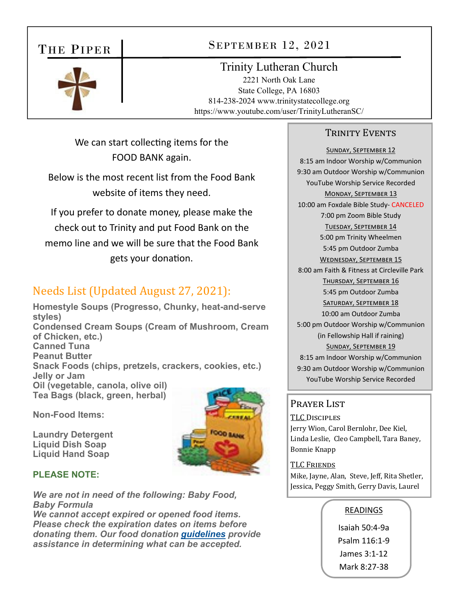### THE PIPER

### SEPTEMBER 12, 2021

### Trinity Lutheran Church

2221 North Oak Lane State College, PA 16803 814-238-2024 www.trinitystatecollege.org https://www.youtube.com/user/TrinityLutheranSC/

We can start collecting items for the FOOD BANK again.

Below is the most recent list from the Food Bank website of items they need.

If you prefer to donate money, please make the check out to Trinity and put Food Bank on the memo line and we will be sure that the Food Bank gets your donaƟon.

## Needs List (Updated August 27, 2021):

**Homestyle Soups (Progresso, Chunky, heat-and-serve styles) Condensed Cream Soups (Cream of Mushroom, Cream of Chicken, etc.) Canned Tuna Peanut Butter Snack Foods (chips, pretzels, crackers, cookies, etc.) Jelly or Jam Oil (vegetable, canola, olive oil) Tea Bags (black, green, herbal)**

**Non-Food Items:** 

**Laundry Detergent Liquid Dish Soap Liquid Hand Soap**



#### **PLEASE NOTE:**

*We are not in need of the following: Baby Food, Baby Formula*

*We cannot accept expired or opened food items. Please check the expiration dates on items before donating them. Our food donation guidelines provide assistance in determining what can be accepted.*

#### TRINITY EVENTS

SUNDAY, SEPTEMBER 12 8:15 am Indoor Worship w/Communion 9:30 am Outdoor Worship w/Communion YouTube Worship Service Recorded MONDAY, SEPTEMBER 13 10:00 am Foxdale Bible Study‐ CANCELED 7:00 pm Zoom Bible Study TUESDAY, SEPTEMBER 14 5:00 pm Trinity Wheelmen 5:45 pm Outdoor Zumba WEDNESDAY, SEPTEMBER 15 8:00 am Faith & Fitness at Circleville Park THURSDAY, SEPTEMBER 16 5:45 pm Outdoor Zumba SATURDAY, SEPTEMBER 18 10:00 am Outdoor Zumba 5:00 pm Outdoor Worship w/Communion (in Fellowship Hall if raining) SUNDAY, SEPTEMBER 19 8:15 am Indoor Worship w/Communion 9:30 am Outdoor Worship w/Communion YouTube Worship Service Recorded

#### Praver List

TLC DISCIPLES Jerry Wion, Carol Bernlohr, Dee Kiel, Linda Leslie, Cleo Campbell, Tara Baney, Bonnie Knapp

#### TLC FRIENDS

Mike, Jayne, Alan, Steve, Jeff, Rita Shetler, Jessica, Peggy Smith, Gerry Davis, Laurel

#### READINGS

Isaiah 50:4‐9a Psalm 116:1‐9 James 3:1‐12 Mark 8:27‐38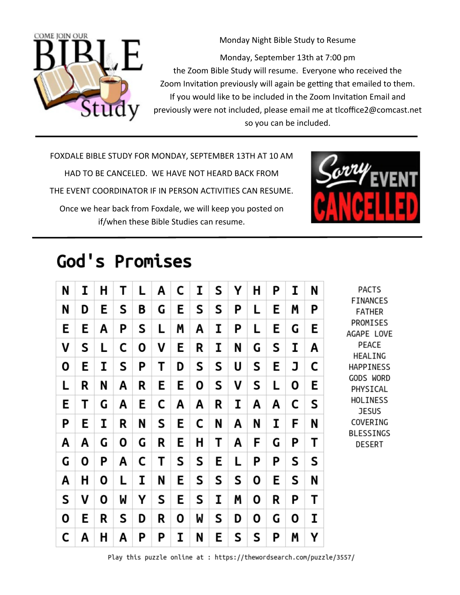

Monday Night Bible Study to Resume Monday, September 13th at 7:00 pm the Zoom Bible Study will resume. Everyone who received the Zoom Invitation previously will again be getting that emailed to them. If you would like to be included in the Zoom Invitation Email and previously were not included, please email me at tlcoffice2@comcast.net so you can be included.

FOXDALE BIBLE STUDY FOR MONDAY, SEPTEMBER 13TH AT 10 AM HAD TO BE CANCELED. WE HAVE NOT HEARD BACK FROM THE EVENT COORDINATOR IF IN PERSON ACTIVITIES CAN RESUME. Once we hear back from Foxdale, we will keep you posted on if/when these Bible Studies can resume.



# God's Promises

| N | I | н | Τ | L | Α | C | Ι | S | Υ | Н | Ρ | Ι | N | <b>PACTS</b><br><b>FINANCES</b><br><b>FATHER</b><br>PROMISES<br>AGAPE LOVE<br>PEACE<br>HEALING<br><b>HAPPINESS</b><br><b>GODS WORD</b><br>PHYSICAL<br>HOLINESS<br><b>JESUS</b><br>COVERING<br>BLESSINGS<br><b>DESERT</b> |
|---|---|---|---|---|---|---|---|---|---|---|---|---|---|--------------------------------------------------------------------------------------------------------------------------------------------------------------------------------------------------------------------------|
| N | D | Е | S | B | G | E | S | S | Ρ | L | Е | Μ | Ρ |                                                                                                                                                                                                                          |
| E | E | Α | Ρ | S | L | Μ | Α | I | Ρ | L | Ε | G | E |                                                                                                                                                                                                                          |
| ٧ | S | L | C | Ο | ٧ | E | R | I | N | G | S | I | Α |                                                                                                                                                                                                                          |
| Ο | Е | I | S | Ρ | Т | D | S | S | U | S | Ε | J | C |                                                                                                                                                                                                                          |
| L | R | N | A | R | E | Ε | 0 | S | ٧ | S | L | Ο | Ε |                                                                                                                                                                                                                          |
| E | Т | G | Α | E | С | Α | Α | R | I | Α | Α | C | S |                                                                                                                                                                                                                          |
| Ρ | Е | I | R | N | S | E | C | N | Α | N | I | F | N |                                                                                                                                                                                                                          |
| A | A | G | Ο | G | R | Ε | Н | Т | Α | F | G | Ρ | Т |                                                                                                                                                                                                                          |
| G | Ο | Ρ | A | C | Т | S | S | E | L | Ρ | Ρ | S | S |                                                                                                                                                                                                                          |
| A | Η | Ο | L | I | N | E | S | S | S | 0 | Ε | S | N |                                                                                                                                                                                                                          |
| S | ٧ | Ο | W | Υ | S | E | S | I | Μ | 0 | R | P | т |                                                                                                                                                                                                                          |
| Ο | E | R | S | D | R | 0 | W | S | D | 0 | G | 0 | I |                                                                                                                                                                                                                          |
| C | Α | Н | Α | Ρ | Ρ | I | N | E | S | S | Ρ | Μ | Υ |                                                                                                                                                                                                                          |

Play this puzzle online at : https://thewordsearch.com/puzzle/3557/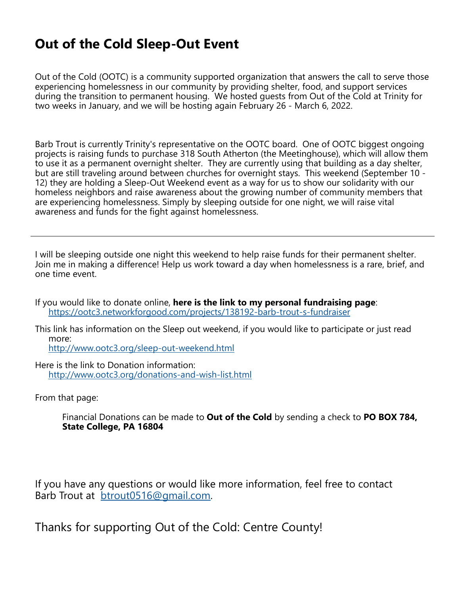## **Out of the Cold Sleep-Out Event**

Out of the Cold (OOTC) is a community supported organization that answers the call to serve those experiencing homelessness in our community by providing shelter, food, and support services during the transition to permanent housing. We hosted guests from Out of the Cold at Trinity for two weeks in January, and we will be hosting again February 26 - March 6, 2022.

Barb Trout is currently Trinity's representative on the OOTC board. One of OOTC biggest ongoing projects is raising funds to purchase 318 South Atherton (the Meetinghouse), which will allow them to use it as a permanent overnight shelter. They are currently using that building as a day shelter, but are still traveling around between churches for overnight stays. This weekend (September 10 - 12) they are holding a Sleep-Out Weekend event as a way for us to show our solidarity with our homeless neighbors and raise awareness about the growing number of community members that are experiencing homelessness. Simply by sleeping outside for one night, we will raise vital awareness and funds for the fight against homelessness.

I will be sleeping outside one night this weekend to help raise funds for their permanent shelter. Join me in making a difference! Help us work toward a day when homelessness is a rare, brief, and one time event.

If you would like to donate online, **here is the link to my personal fundraising page**: https://ootc3.networkforgood.com/projects/138192-barb-trout-s-fundraiser

This link has information on the Sleep out weekend, if you would like to participate or just read more:

http://www.ootc3.org/sleep-out-weekend.html

Here is the link to Donation information: http://www.ootc3.org/donations-and-wish-list.html

From that page:

 Financial Donations can be made to **Out of the Cold** by sending a check to **PO BOX 784, State College, PA 16804**

If you have any questions or would like more information, feel free to contact Barb Trout at btrout0516@gmail.com.

Thanks for supporting Out of the Cold: Centre County!